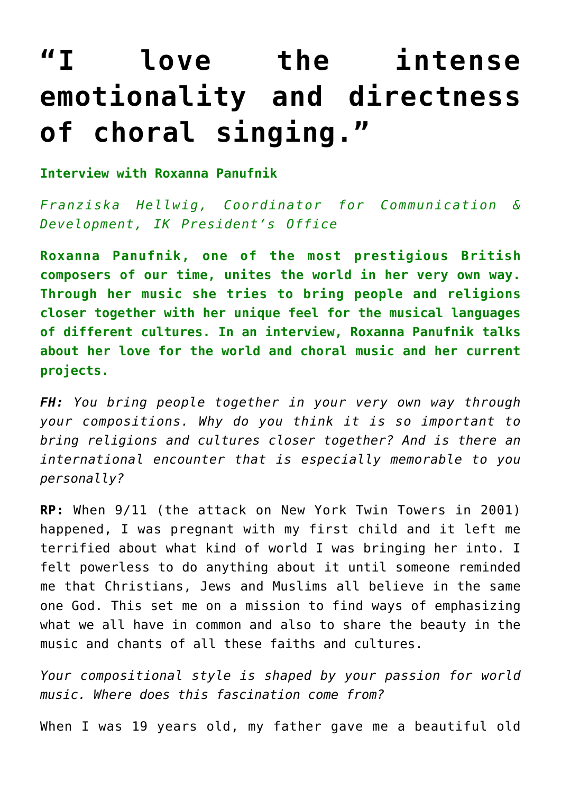## **["I love the intense](http://icb.ifcm.net/ru_RU/i-love-the-intense-emotionality-and-directness-of-choral-singing/) [emotionality and directness](http://icb.ifcm.net/ru_RU/i-love-the-intense-emotionality-and-directness-of-choral-singing/) [of choral singing."](http://icb.ifcm.net/ru_RU/i-love-the-intense-emotionality-and-directness-of-choral-singing/)**

**Interview with Roxanna Panufnik**

*Franziska Hellwig, Coordinator for Communication & Development, IK President's Office* 

**Roxanna Panufnik, one of the most prestigious British composers of our time, unites the world in her very own way. Through her music she tries to bring people and religions closer together with her unique feel for the musical languages of different cultures. In an interview, Roxanna Panufnik talks about her love for the world and choral music and her current projects.**

*FH: You bring people together in your very own way through your compositions. Why do you think it is so important to bring religions and cultures closer together? And is there an international encounter that is especially memorable to you personally?*

**RP:** When 9/11 (the attack on New York Twin Towers in 2001) happened, I was pregnant with my first child and it left me terrified about what kind of world I was bringing her into. I felt powerless to do anything about it until someone reminded me that Christians, Jews and Muslims all believe in the same one God. This set me on a mission to find ways of emphasizing what we all have in common and also to share the beauty in the music and chants of all these faiths and cultures.

*Your compositional style is shaped by your passion for world music. Where does this fascination come from?*

When I was 19 years old, my father gave me a beautiful old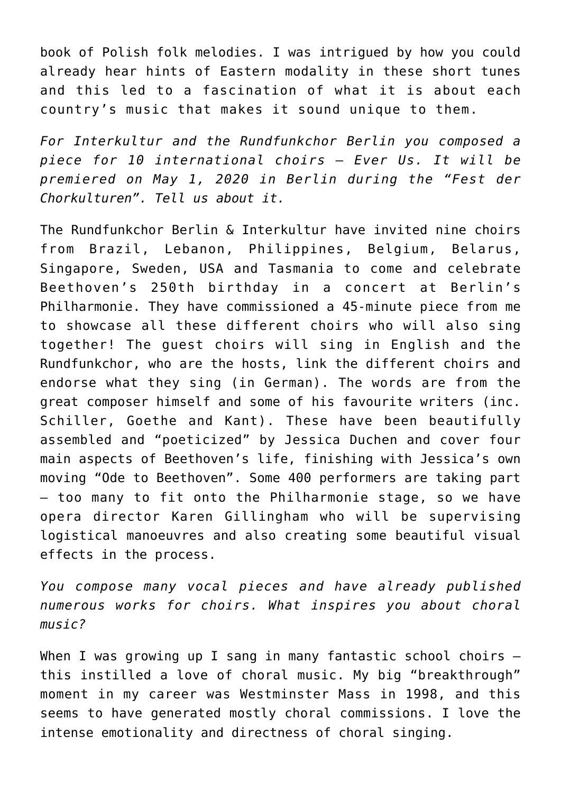book of Polish folk melodies. I was intrigued by how you could already hear hints of Eastern modality in these short tunes and this led to a fascination of what it is about each country's music that makes it sound unique to them.

*For Interkultur and the Rundfunkchor Berlin you composed a piece for 10 international choirs – Ever Us. It will be premiered on May 1, 2020 in Berlin during the "Fest der Chorkulturen". Tell us about it.* 

The Rundfunkchor Berlin & Interkultur have invited nine choirs from Brazil, Lebanon, Philippines, Belgium, Belarus, Singapore, Sweden, USA and Tasmania to come and celebrate Beethoven's 250th birthday in a concert at Berlin's Philharmonie. They have commissioned a 45-minute piece from me to showcase all these different choirs who will also sing together! The guest choirs will sing in English and the Rundfunkchor, who are the hosts, link the different choirs and endorse what they sing (in German). The words are from the great composer himself and some of his favourite writers (inc. Schiller, Goethe and Kant). These have been beautifully assembled and "poeticized" by Jessica Duchen and cover four main aspects of Beethoven's life, finishing with Jessica's own moving "Ode to Beethoven". Some 400 performers are taking part – too many to fit onto the Philharmonie stage, so we have opera director Karen Gillingham who will be supervising logistical manoeuvres and also creating some beautiful visual effects in the process.

*You compose many vocal pieces and have already published numerous works for choirs. What inspires you about choral music?*

When I was growing up I sang in many fantastic school choirs  $$ this instilled a love of choral music. My big "breakthrough" moment in my career was Westminster Mass in 1998, and this seems to have generated mostly choral commissions. I love the intense emotionality and directness of choral singing.